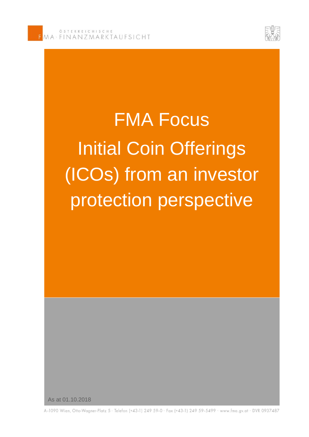

# FMA Focus Initial Coin Offerings (ICOs) from an investor protection perspective

As at 01.10.2018

A-1090 Wien, Otto-Wagner-Platz 5 · Telefon (+43-1) 249 59-0 · Fax (+43-1) 249 59-5499 · www.fma.gv.at · DVR 0937487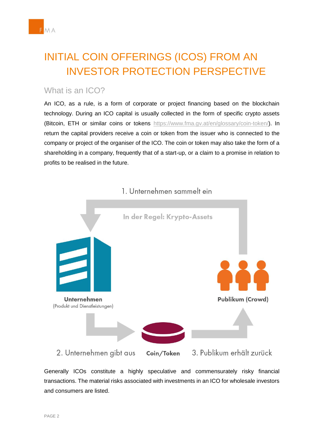# INITIAL COIN OFFERINGS (ICOS) FROM AN INVESTOR PROTECTION PERSPECTIVE

### What is an ICO?

 An ICO, as a rule, is a form of corporate or project financing based on the blockchain technology. During an ICO capital is usually collected in the form of specific crypto assets (Bitcoin, ETH or similar coins or tokens [https://www.fma.gv.at/en/glossary/coin-token/\)](https://www.fma.gv.at/en/glossary/coin-token/). In return the capital providers receive a coin or token from the issuer who is connected to the company or project of the organiser of the ICO. The coin or token may also take the form of a shareholding in a company, frequently that of a start-up, or a claim to a promise in relation to profits to be realised in the future.



#### 1. Unternehmen sammelt ein

 Generally ICOs constitute a highly speculative and commensurately risky financial transactions. The material risks associated with investments in an ICO for wholesale investors and consumers are listed.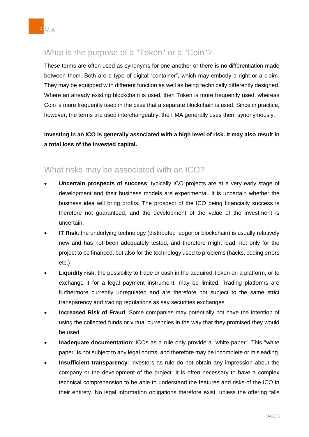

# What is the purpose of a "Token" or a "Coin"?

 These terms are often used as synonyms for one another or there is no differentiation made between them. Both are a type of digital "container", which may embody a right or a claim. They may be equipped with different function as well as being technically differently designed. Where an already existing blockchain is used, then Token is more frequently used, whereas Coin is more frequently used in the case that a separate blockchain is used. Since in practice, however, the terms are used interchangeably, the FMA generally uses them synonymously.

 **Investing in an ICO is generally associated with a high level of risk. It may also result in a total loss of the invested capital.** 

#### What risks may be associated with an ICO?

- **Uncertain prospects of success**: typically ICO projects are at a very early stage of development and their business models are experimental. It is uncertain whether the business idea will bring profits. The prospect of the ICO being financially success is therefore not guaranteed, and the development of the value of the investment is uncertain.
- **IT Risk**: the underlying technology (distributed ledger or blockchain) is usually relatively new and has not been adequately tested, and therefore might lead, not only for the project to be financed, but also for the technology used to problems (hacks, coding errors etc.)
- **Liquidity risk**: the possibility to trade or cash in the acquired Token on a platform, or to exchange it for a legal payment instrument, may be limited. Trading platforms are furthermore currently unregulated and are therefore not subject to the same strict transparency and trading regulations as say securities exchanges.
- **Increased Risk of Fraud:** Some companies may potentially not have the intention of using the collected funds or virtual currencies in the way that they promised they would be used.
- **Inadequate documentation**: ICOs as a rule only provide a "white paper". This "white paper" is not subject to any legal norms, and therefore may be incomplete or misleading.
- **Insufficient transparency**: investors as rule do not obtain any impression about the company or the development of the project. It is often necessary to have a complex technical comprehension to be able to understand the features and risks of the ICO in their entirety. No legal information obligations therefore exist, unless the offering falls